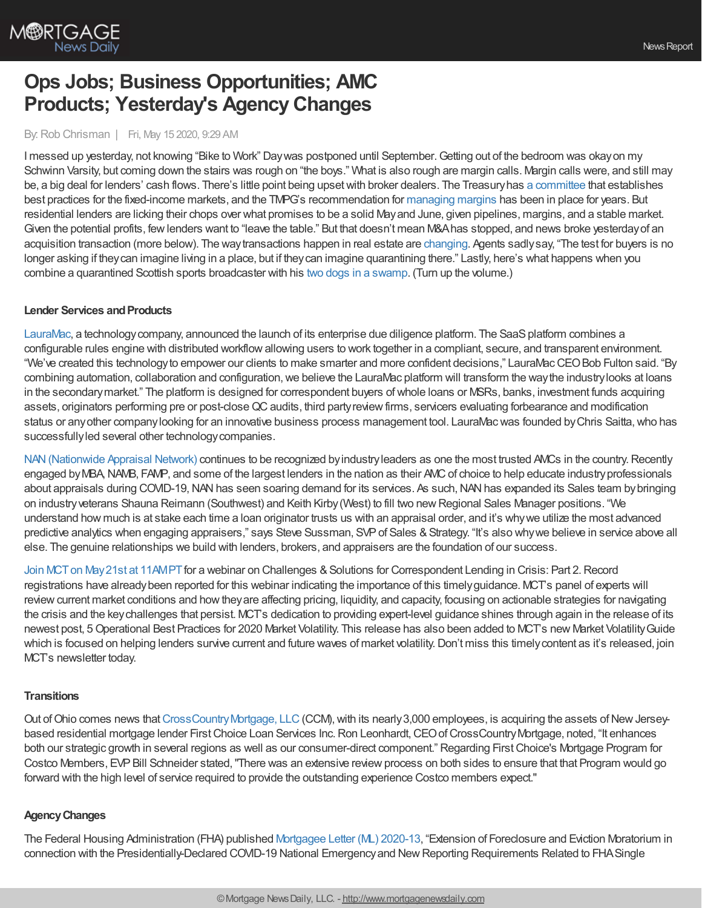

# **Ops Jobs; Business Opportunities; AMC Products; Yesterday's AgencyChanges**

#### By:Rob Chrisman | Fri, May 15 2020, 9:29 AM

I messed up yesterday, not knowing "Bike to Work" Day was postponed until September. Getting out of the bedroom was okay on my Schwinn Varsity, but coming down the stairs was rough on "the boys." What is also rough are margin calls. Margin calls were, and still may be, a big deal for lenders' cash flows. There's little point being upsetwith broker dealers. The Treasuryhas a [committee](https://www.newyorkfed.org/tmpg/about.html) that establishes best practices for the fixed-income markets, and the TMPG's recommendation for [managing](https://www.newyorkfed.org/tmpg/margining.html) margins has been in place for years. But residential lenders are licking their chops over what promises to be a solid Mayand June, given pipelines, margins, and a stable market. Given the potential profits, fewlenders want to "leave the table." But that doesn't mean M&Ahas stopped, and news broke yesterdayof an acquisition transaction (more below). The waytransactions happen in real estate are [changing](https://time.com/5835778/selling-home-coronavirus/). Agents sadlysay, "The test for buyers is no longer asking if theycan imagine living in a place, but if theycan imagine quarantining there." Lastly, here's what happens when you combine a quarantined Scottish sports broadcaster with his two dogs in a [swamp.](https://youtu.be/26FIEX6muAo) (Turn up the volume.)

#### **Lender Services and Products**

[LauraMac,](http://www.lauramac.com/) a technology company, announced the launch of its enterprise due diligence platform. The SaaS platform combines a configurable rules engine with distributed workflowallowing users to work together in a compliant, secure, and transparent environment. "We've created this technologyto empower our clients to make smarter and more confident decisions," LauraMacCEOBob Fulton said. "By combining automation, collaboration and configuration, we believe the LauraMac platform will transform the way the industry looks at loans in the secondarymarket." The platform is designed for correspondent buyers ofwhole loans or MSRs, banks, investment funds acquiring assets, originators performing pre or post-close QC audits, third party review firms, servicers evaluating forbearance and modification status or anyother companylooking for an innovative business process management tool. LauraMacwas founded byChris Saitta,who has successfully led several other technology companies.

NAN (Nationwide Appraisal Network) continues to be recognized by industry leaders as one the most trusted AMCs in the country. Recently engaged by MBA, NAMB, FAMP, and some of the largest lenders in the nation as their AMC of choice to help educate industry professionals about appraisals during COVID-19, NAN has seen soaring demand for its services. As such, NAN has expanded its Sales team by bringing on industryveterans Shauna Reimann (Southwest) and Keith Kirby(West) to fill two newRegional Sales Manager positions. "We understand how much is at stake each time a loan originator trusts us with an appraisal order, and it's whywe utilize the most advanced predictive analytics when engaging appraisers," says Steve Sussman, SVP of Sales & Strategy. "It's also why we believe in service above all else. The genuine relationships we build with lenders, brokers, and appraisers are the foundation of our success.

Join MCT on May 21st at 11AMPT for a webinar on Challenges & Solutions for Correspondent Lending in Crisis: Part 2. Record registrations have alreadybeen reported for this webinar indicating the importance of this timelyguidance. MCT's panel of experts will review current market conditions and how they are affecting pricing, liquidity, and capacity, focusing on actionable strategies for navigating the crisis and the keychallenges that persist. MCT's dedication to providing expert-level guidance shines through again in the release of its newest post, 5Operational Best Practices for 2020 Market Volatility. This release has also been added to MCT's new Market VolatilityGuide which is focused on helping lenders survive current and future waves of market volatility. Don't miss this timely content as it's released, join MCT's newsletter today.

#### **Transitions**

Out of Ohio comes news that CrossCountry Mortgage, LLC (CCM), with its nearly 3,000 employees, is acquiring the assets of New Jerseybased residential mortgage lender First Choice Loan Services Inc. Ron Leonhardt, CEO of CrossCountry Mortgage, noted, "It enhances both our strategic growth in several regions as well as our consumer-direct component." Regarding First Choice's Mortgage Program for Costco Members, EVP Bill Schneider stated, "There was an extensive review process on both sides to ensure that that Program would go forward with the high level of service required to provide the outstanding experience Costco members expect."

#### **AgencyChanges**

The Federal Housing Administration (FHA) published [Mortgagee](https://www.hud.gov/sites/dfiles/OCHCO/documents/2020-13hsngml.pdf) Letter (ML) 2020-13, "Extension of Foreclosure and Eviction Moratorium in connection with the Presidentially-Declared COVID-19 National Emergencyand NewReporting Requirements Related to FHASingle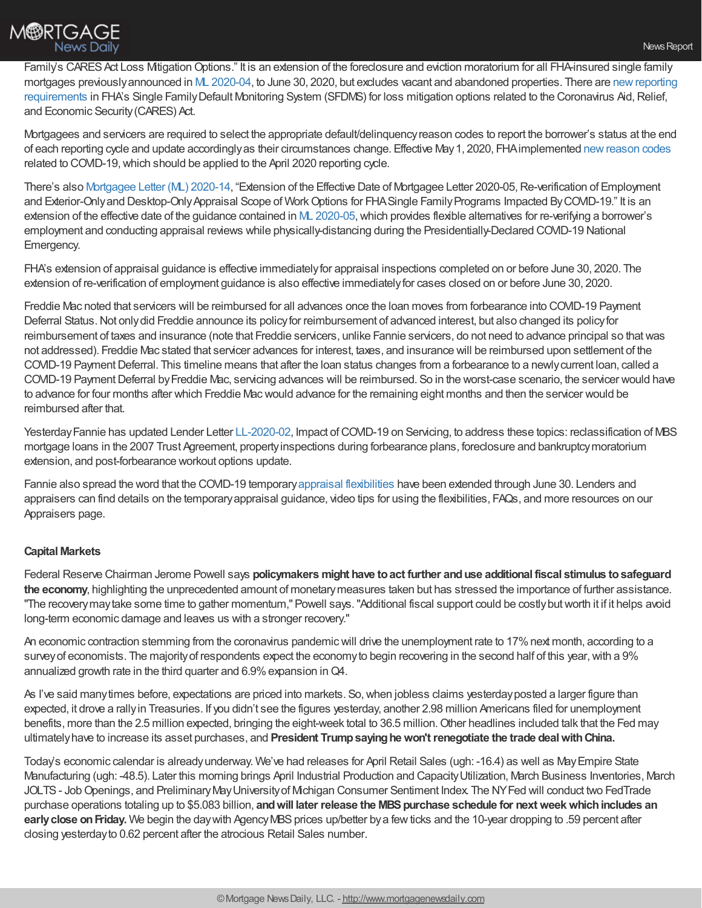## **M®RTGAGE** News Daily

Family's CARES Act Loss Mitigation Options." It is an extension of the foreclosure and eviction moratorium for all FHA-insured single family mortgages [previouslyannounced](https://www.hud.gov/press) in ML [2020-04](https://www.hud.gov/sites/dfiles/OCHCO/documents/20-04hsgml.pdf), to June 30, 2020, but excludes vacant and abandoned properties. There are newreporting requirements in FHA's Single FamilyDefault Monitoring System (SFDMS) for loss mitigation options related to the Coronavirus Aid,Relief, and Economic Security(CARES) Act.

Mortgagees and servicers are required to select the appropriate default/delinquencyreason codes to report the borrower's status at the end of each reporting cycle and update accordinglyas their circumstances change. Effective May1, 2020, FHAimplemented [newreason](https://www.hud.gov/program_offices/housing/sfh/handbook_references) codes related to COVID-19,which should be applied to the April 2020 reporting cycle.

There's also [Mortgagee](https://www.hud.gov/sites/dfiles/OCHCO/documents/2020-14hsngml.pdf) Letter (ML) 2020-14, "Extension of the Effective Date of Mortgagee Letter 2020-05, Re-verification of Employment and Exterior-Only and Desktop-Only Appraisal Scope of Work Options for FHA Single Family Programs Impacted By COVID-19." It is an extension of the effective date of the guidance contained in ML [2020-05,](https://www.hud.gov/sites/dfiles/OCHCO/documents/20-05hsgml.pdf) which provides flexible alternatives for re-verifying a borrower's employment and conducting appraisal reviews while physically-distancing during the Presidentially-Declared COVID-19 National Emergency.

FHA's extension of appraisal guidance is effective immediatelyfor appraisal inspections completed on or before June 30, 2020. The extension of re-verification of employment guidance is also effective immediatelyfor cases closed on or before June 30, 2020.

Freddie Mac noted that servicers will be reimbursed for all advances once the loan moves from forbearance into COVID-19 Payment Deferral Status. Not only did Freddie announce its policy for reimbursement of advanced interest, but also changed its policy for reimbursement of taxes and insurance (note that Freddie servicers, unlike Fannie servicers, do not need to advance principal so thatwas not addressed). Freddie Mac stated that servicer advances for interest, taxes, and insurance will be reimbursed upon settlement of the COVID-19 Payment Deferral. This timeline means that after the loan status changes from a forbearance to a newly current loan, called a COVID-19 Payment Deferral by Freddie Mac, servicing advances will be reimbursed. So in the worst-case scenario, the servicer would have to advance for four months after which Freddie Macwould advance for the remaining eight months and then the servicer would be reimbursed after that.

Yesterday Fannie has updated Lender Letter [LL-2020-02,](https://singlefamily.fanniemae.com/media/22261/display) Impact of COVID-19 on Servicing, to address these topics: reclassification of MBS mortgage loans in the 2007 Trust Agreement, propertyinspections during forbearance plans, foreclosure and bankruptcymoratorium extension, and post-forbearance workout options update.

Fannie also spread the word that the COVID-19 temporary appraisal [flexibilities](https://singlefamily.fanniemae.com/originating-underwriting/appraisers#appraisers-promo) have been extended through June 30. Lenders and appraisers can find details on the temporaryappraisal guidance, video tips for using the flexibilities, FAQs, and more resources on our Appraisers page.

### **Capital Markets**

Federal Reserve Chairman Jerome Powell says **policymakers might have toact further anduse additional fiscal stimulus tosafeguard the economy**, highlighting the unprecedented amount of monetarymeasures taken but has stressed the importance of further assistance. "The recovery may take some time to gather momentum," Powell says. "Additional fiscal support could be costly but worth it if it helps avoid long-term economic damage and leaves us with a stronger recovery."

An economic contraction stemming from the coronavirus pandemic will drive the unemployment rate to 17% next month, according to a survey of economists. The majority of respondents expect the economy to begin recovering in the second half of this year, with a 9% annualized growth rate in the third quarter and 6.9% expansion in Q4.

As I've said many times before, expectations are priced into markets. So, when jobless claims yesterday posted a larger figure than expected, it drove a rallyin Treasuries. If you didn't see the figures yesterday, another 2.98 million Americans filed for unemployment benefits, more than the 2.5 million expected, bringing the eight-week total to 36.5 million.Other headlines included talk that the Fed may ultimatelyhave to increase its asset purchases, and **President Trumpsayinghewon'trenegotiate the trade dealwithChina.**

Today's economic calendar is alreadyunderway. We've had releases for April Retail Sales (ugh: -16.4) as well as MayEmpire State Manufacturing (ugh: -48.5). Later this morning brings April Industrial Production and CapacityUtilization, March Business Inventories, March JOLTS - Job Openings, and Preliminary May University of Michigan Consumer Sentiment Index. The NY Fed will conduct two FedTrade purchase operations totaling up to \$5.083 billion, **andwill later release the MBSpurchase schedule for nextweekwhichincludes an early close on Friday.** We begin the day with Agency MBS prices up/better by a few ticks and the 10-year dropping to .59 percent after closing yesterdayto 0.62 percent after the atrocious Retail Sales number.